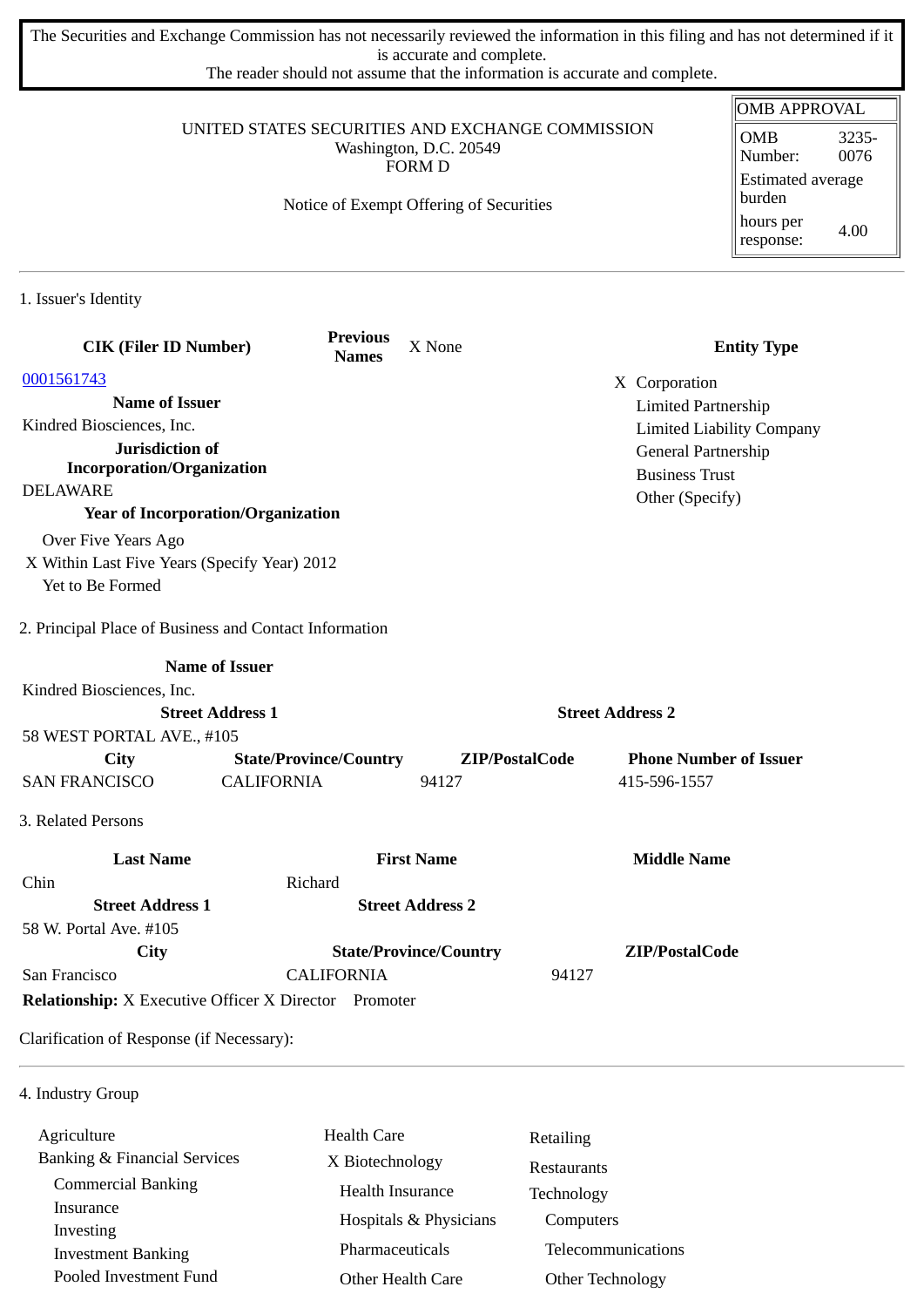The Securities and Exchange Commission has not necessarily reviewed the information in this filing and has not determined if it is accurate and complete.

The reader should not assume that the information is accurate and complete.

|                                                                                             |                                 |                                         | <b>OMB APPROVAL</b>                                                |                                          |  |
|---------------------------------------------------------------------------------------------|---------------------------------|-----------------------------------------|--------------------------------------------------------------------|------------------------------------------|--|
| UNITED STATES SECURITIES AND EXCHANGE COMMISSION<br>Washington, D.C. 20549<br><b>FORM D</b> |                                 |                                         | <b>OMB</b><br>3235-<br>0076<br>Number:<br><b>Estimated average</b> |                                          |  |
|                                                                                             |                                 | Notice of Exempt Offering of Securities |                                                                    | burden<br>hours per<br>4.00<br>response: |  |
| 1. Issuer's Identity                                                                        |                                 |                                         |                                                                    |                                          |  |
| <b>CIK (Filer ID Number)</b>                                                                | <b>Previous</b><br><b>Names</b> | X None                                  |                                                                    | <b>Entity Type</b>                       |  |
| 0001561743                                                                                  |                                 |                                         | X Corporation                                                      |                                          |  |
| <b>Name of Issuer</b>                                                                       |                                 |                                         | <b>Limited Partnership</b>                                         |                                          |  |
| Kindred Biosciences, Inc.                                                                   |                                 |                                         | <b>Limited Liability Company</b>                                   |                                          |  |
| Jurisdiction of                                                                             |                                 |                                         | General Partnership                                                |                                          |  |
| <b>Incorporation/Organization</b><br><b>DELAWARE</b>                                        |                                 |                                         | <b>Business Trust</b>                                              |                                          |  |
| <b>Year of Incorporation/Organization</b>                                                   |                                 | Other (Specify)                         |                                                                    |                                          |  |
| Over Five Years Ago                                                                         |                                 |                                         |                                                                    |                                          |  |
| X Within Last Five Years (Specify Year) 2012                                                |                                 |                                         |                                                                    |                                          |  |
| Yet to Be Formed                                                                            |                                 |                                         |                                                                    |                                          |  |
| 2. Principal Place of Business and Contact Information                                      |                                 |                                         |                                                                    |                                          |  |
| <b>Name of Issuer</b>                                                                       |                                 |                                         |                                                                    |                                          |  |
| Kindred Biosciences, Inc.                                                                   |                                 |                                         |                                                                    |                                          |  |
| <b>Street Address 1</b>                                                                     |                                 |                                         | <b>Street Address 2</b>                                            |                                          |  |
| 58 WEST PORTAL AVE., #105                                                                   |                                 |                                         |                                                                    |                                          |  |
| <b>City</b>                                                                                 | <b>State/Province/Country</b>   | ZIP/PostalCode                          | <b>Phone Number of Issuer</b>                                      |                                          |  |
| <b>SAN FRANCISCO</b><br><b>CALIFORNIA</b>                                                   |                                 | 94127                                   | 415-596-1557                                                       |                                          |  |
| 3. Related Persons                                                                          |                                 |                                         |                                                                    |                                          |  |
| <b>Last Name</b>                                                                            |                                 | <b>First Name</b>                       | <b>Middle Name</b>                                                 |                                          |  |
| Chin                                                                                        | Richard                         |                                         |                                                                    |                                          |  |
| <b>Street Address 1</b>                                                                     |                                 | <b>Street Address 2</b>                 |                                                                    |                                          |  |
| 58 W. Portal Ave. #105                                                                      |                                 |                                         |                                                                    |                                          |  |
| <b>City</b>                                                                                 |                                 | <b>State/Province/Country</b>           | ZIP/PostalCode                                                     |                                          |  |
| San Francisco                                                                               | <b>CALIFORNIA</b>               |                                         | 94127                                                              |                                          |  |
| <b>Relationship:</b> X Executive Officer X Director Promoter                                |                                 |                                         |                                                                    |                                          |  |
| Clarification of Response (if Necessary):                                                   |                                 |                                         |                                                                    |                                          |  |
| $\Lambda$ Industry $C_{2011}$                                                               |                                 |                                         |                                                                    |                                          |  |

4. Industry Group

| Agriculture                  | <b>Health Care</b>     | Retailing          |
|------------------------------|------------------------|--------------------|
| Banking & Financial Services | X Biotechnology        | <b>Restaurants</b> |
| <b>Commercial Banking</b>    | Health Insurance       | Technology         |
| Insurance<br>Investing       | Hospitals & Physicians | Computers          |
| <b>Investment Banking</b>    | Pharmaceuticals        | Telecommunications |
| Pooled Investment Fund       | Other Health Care      | Other Technology   |
|                              |                        |                    |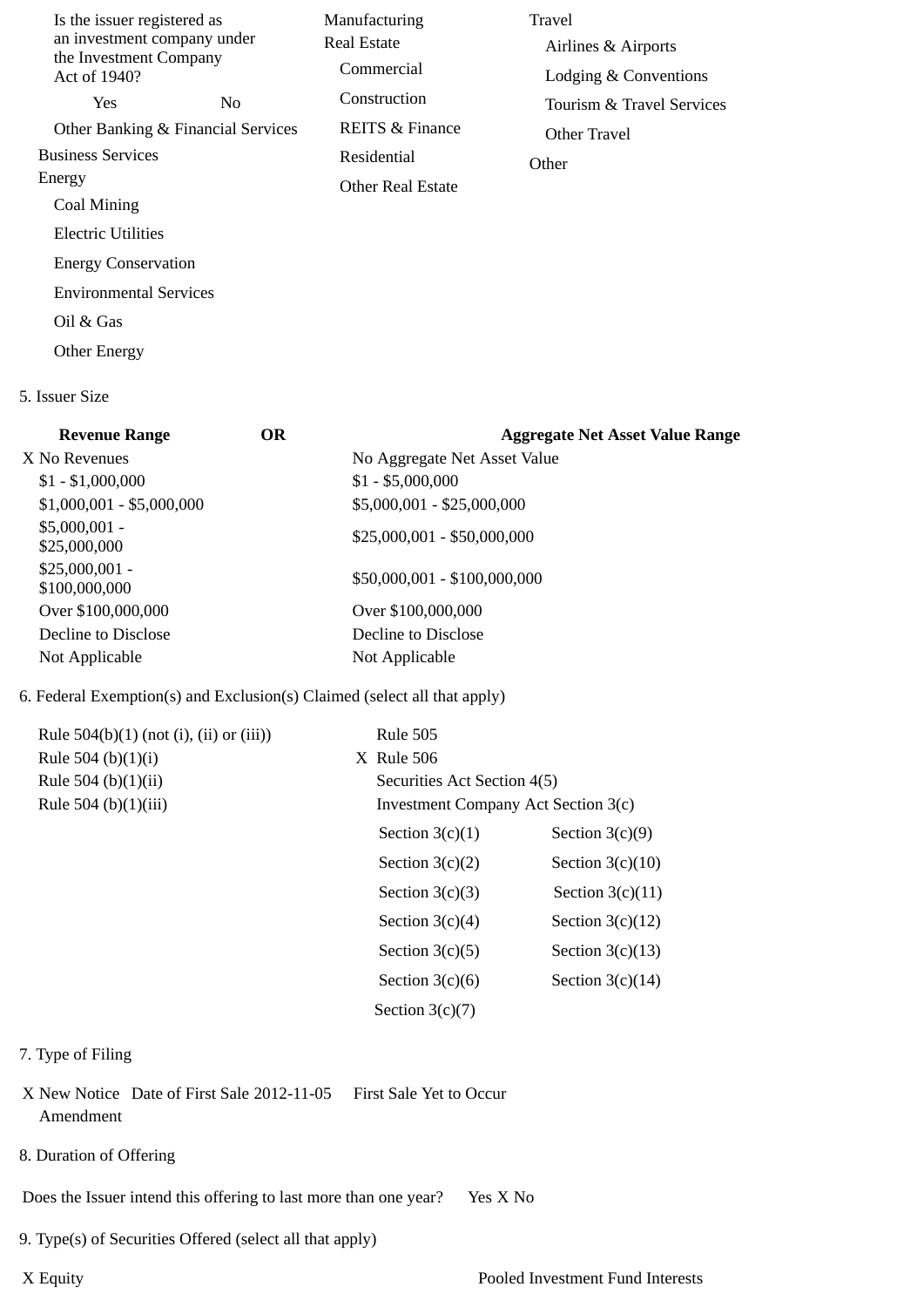| Is the issuer registered as<br>an investment company under<br>the Investment Company<br>Act of 1940? |                                    | Manufacturing<br>Real Estate<br>Commercial | Travel<br>Airlines & Airports<br>Lodging & Conventions |
|------------------------------------------------------------------------------------------------------|------------------------------------|--------------------------------------------|--------------------------------------------------------|
| <b>Yes</b>                                                                                           | N <sub>0</sub>                     | Construction                               | Tourism & Travel Services                              |
|                                                                                                      | Other Banking & Financial Services | REITS & Finance                            | Other Travel                                           |
| <b>Business Services</b>                                                                             |                                    | Residential                                | Other                                                  |
| Energy                                                                                               |                                    | <b>Other Real Estate</b>                   |                                                        |
| Coal Mining                                                                                          |                                    |                                            |                                                        |
| Electric Utilities                                                                                   |                                    |                                            |                                                        |
| <b>Energy Conservation</b>                                                                           |                                    |                                            |                                                        |
| <b>Environmental Services</b>                                                                        |                                    |                                            |                                                        |
| Oil & Gas                                                                                            |                                    |                                            |                                                        |

5. Issuer Size

Other Energy

| <b>Revenue Range</b>             | <b>OR</b> | <b>Aggregate Net Asset Value Range</b> |
|----------------------------------|-----------|----------------------------------------|
| X No Revenues                    |           | No Aggregate Net Asset Value           |
| $$1 - $1,000,000$                |           | $$1 - $5,000,000$                      |
| $$1,000,001 - $5,000,000$        |           | \$5,000,001 - \$25,000,000             |
| $$5,000,001 -$<br>\$25,000,000   |           | $$25,000,001 - $50,000,000$            |
| $$25,000,001 -$<br>\$100,000,000 |           | \$50,000,001 - \$100,000,000           |
| Over \$100,000,000               |           | Over \$100,000,000                     |
| Decline to Disclose              |           | Decline to Disclose                    |
| Not Applicable                   |           | Not Applicable                         |

## 6. Federal Exemption(s) and Exclusion(s) Claimed (select all that apply)

| Rule $504(b)(1)$ (not (i), (ii) or (iii)) | <b>Rule 505</b>                     |                    |
|-------------------------------------------|-------------------------------------|--------------------|
| Rule 504 (b) $(1)(i)$                     | $X$ Rule 506                        |                    |
| Rule 504 (b) $(1)(ii)$                    | Securities Act Section 4(5)         |                    |
| Rule 504 (b)(1)(iii)                      | Investment Company Act Section 3(c) |                    |
|                                           | Section $3(c)(1)$                   | Section $3(c)(9)$  |
|                                           | Section $3(c)(2)$                   | Section $3(c)(10)$ |
|                                           | Section $3(c)(3)$                   | Section $3(c)(11)$ |
|                                           | Section $3(c)(4)$                   | Section $3(c)(12)$ |
|                                           | Section $3(c)(5)$                   | Section $3(c)(13)$ |
|                                           | Section $3(c)(6)$                   | Section $3(c)(14)$ |
|                                           | Section $3(c)(7)$                   |                    |

## 7. Type of Filing

- X New Notice Date of First Sale 2012-11-05 First Sale Yet to Occur Amendment
- 8. Duration of Offering

Does the Issuer intend this offering to last more than one year? Yes X No

9. Type(s) of Securities Offered (select all that apply)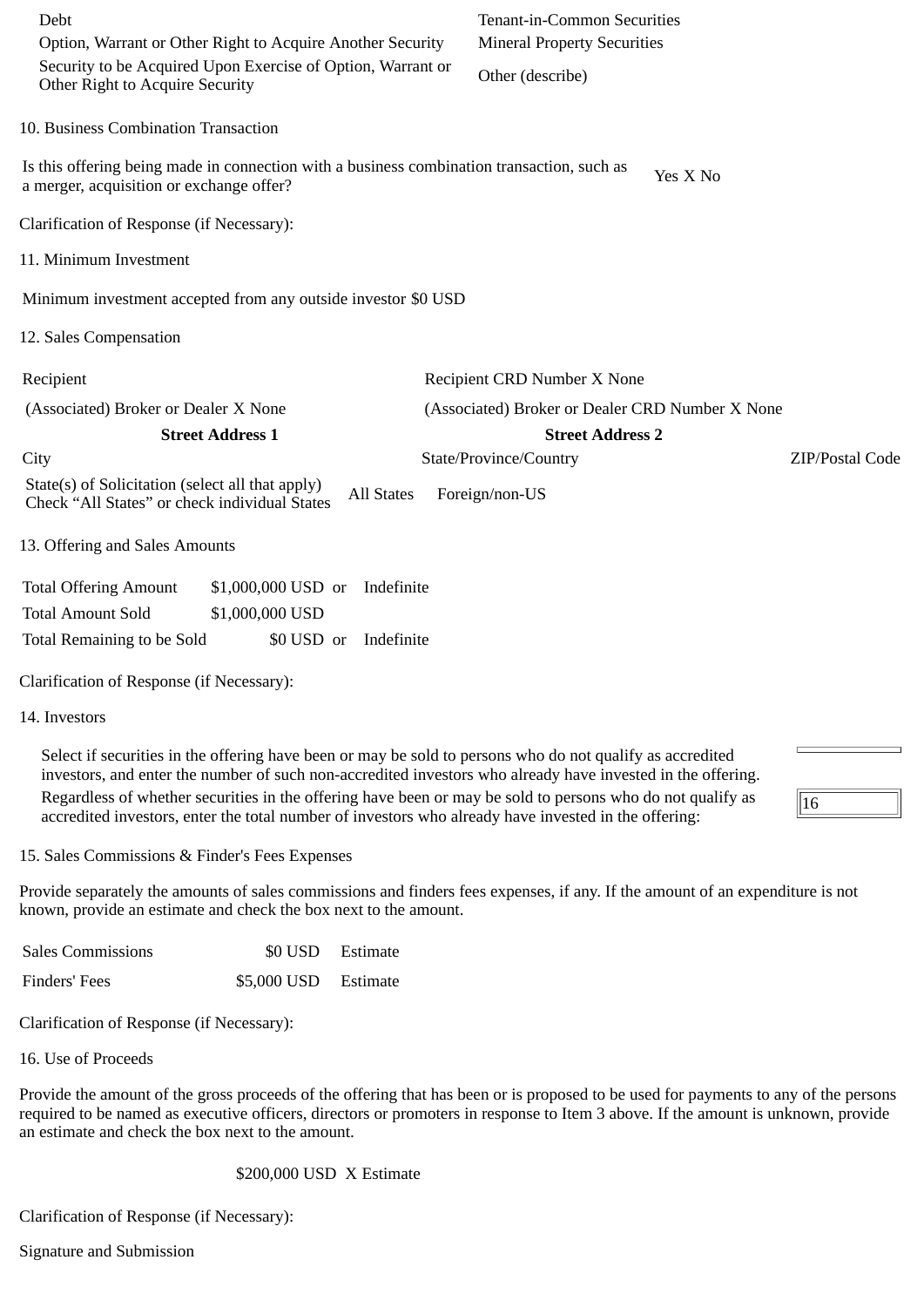| Debt<br>Option, Warrant or Other Right to Acquire Another Security<br>Security to be Acquired Upon Exercise of Option, Warrant or<br>Other Right to Acquire Security |                                  | Tenant-in-Common Securities<br><b>Mineral Property Securities</b>                                                                                                                                                                                                                                                                                                                                                                              |                 |
|----------------------------------------------------------------------------------------------------------------------------------------------------------------------|----------------------------------|------------------------------------------------------------------------------------------------------------------------------------------------------------------------------------------------------------------------------------------------------------------------------------------------------------------------------------------------------------------------------------------------------------------------------------------------|-----------------|
|                                                                                                                                                                      |                                  | Other (describe)                                                                                                                                                                                                                                                                                                                                                                                                                               |                 |
| 10. Business Combination Transaction                                                                                                                                 |                                  |                                                                                                                                                                                                                                                                                                                                                                                                                                                |                 |
| Is this offering being made in connection with a business combination transaction, such as<br>a merger, acquisition or exchange offer?                               |                                  | Yes X No                                                                                                                                                                                                                                                                                                                                                                                                                                       |                 |
| Clarification of Response (if Necessary):                                                                                                                            |                                  |                                                                                                                                                                                                                                                                                                                                                                                                                                                |                 |
| 11. Minimum Investment                                                                                                                                               |                                  |                                                                                                                                                                                                                                                                                                                                                                                                                                                |                 |
| Minimum investment accepted from any outside investor \$0 USD                                                                                                        |                                  |                                                                                                                                                                                                                                                                                                                                                                                                                                                |                 |
| 12. Sales Compensation                                                                                                                                               |                                  |                                                                                                                                                                                                                                                                                                                                                                                                                                                |                 |
| Recipient                                                                                                                                                            |                                  | Recipient CRD Number X None                                                                                                                                                                                                                                                                                                                                                                                                                    |                 |
| (Associated) Broker or Dealer X None                                                                                                                                 |                                  | (Associated) Broker or Dealer CRD Number X None                                                                                                                                                                                                                                                                                                                                                                                                |                 |
| <b>Street Address 1</b>                                                                                                                                              |                                  | <b>Street Address 2</b>                                                                                                                                                                                                                                                                                                                                                                                                                        |                 |
| City                                                                                                                                                                 |                                  | State/Province/Country                                                                                                                                                                                                                                                                                                                                                                                                                         | ZIP/Postal Code |
| State(s) of Solicitation (select all that apply)<br>Check "All States" or check individual States                                                                    | <b>All States</b>                | Foreign/non-US                                                                                                                                                                                                                                                                                                                                                                                                                                 |                 |
| 13. Offering and Sales Amounts                                                                                                                                       |                                  |                                                                                                                                                                                                                                                                                                                                                                                                                                                |                 |
| <b>Total Offering Amount</b>                                                                                                                                         | \$1,000,000 USD or<br>Indefinite |                                                                                                                                                                                                                                                                                                                                                                                                                                                |                 |
| <b>Total Amount Sold</b>                                                                                                                                             | \$1,000,000 USD                  |                                                                                                                                                                                                                                                                                                                                                                                                                                                |                 |
| Total Remaining to be Sold                                                                                                                                           | \$0 USD or<br>Indefinite         |                                                                                                                                                                                                                                                                                                                                                                                                                                                |                 |
| Clarification of Response (if Necessary):                                                                                                                            |                                  |                                                                                                                                                                                                                                                                                                                                                                                                                                                |                 |
| 14. Investors                                                                                                                                                        |                                  |                                                                                                                                                                                                                                                                                                                                                                                                                                                |                 |
|                                                                                                                                                                      |                                  | Select if securities in the offering have been or may be sold to persons who do not qualify as accredited<br>investors, and enter the number of such non-accredited investors who already have invested in the offering.<br>Regardless of whether securities in the offering have been or may be sold to persons who do not qualify as<br>accredited investors, enter the total number of investors who already have invested in the offering: | 16              |

15. Sales Commissions & Finder's Fees Expenses

Provide separately the amounts of sales commissions and finders fees expenses, if any. If the amount of an expenditure is not known, provide an estimate and check the box next to the amount.

| <b>Sales Commissions</b> |                      | \$0 USD Estimate |
|--------------------------|----------------------|------------------|
| Finders' Fees            | \$5,000 USD Estimate |                  |

Clarification of Response (if Necessary):

16. Use of Proceeds

Provide the amount of the gross proceeds of the offering that has been or is proposed to be used for payments to any of the persons required to be named as executive officers, directors or promoters in response to Item 3 above. If the amount is unknown, provide an estimate and check the box next to the amount.

\$200,000 USD X Estimate

Clarification of Response (if Necessary):

Signature and Submission